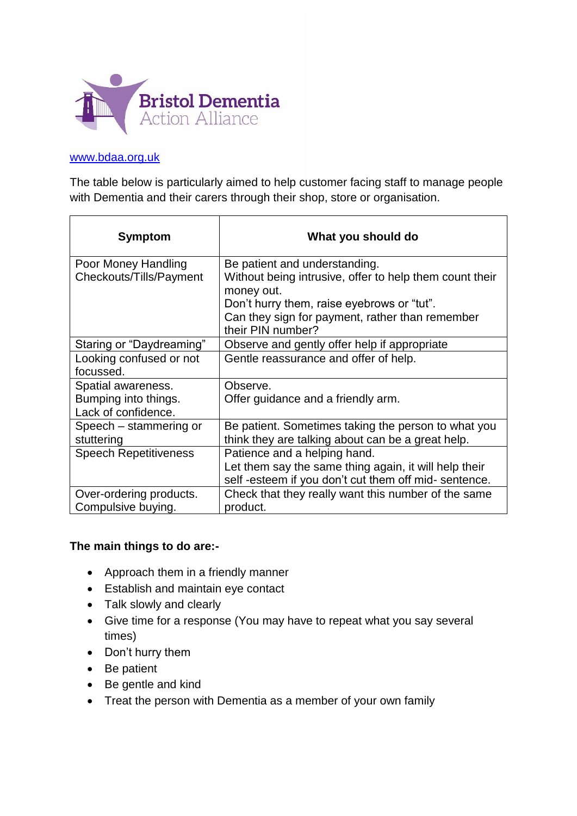

## [www.bdaa.org.uk](http://www.bdaa.org.uk/)

The table below is particularly aimed to help customer facing staff to manage people with Dementia and their carers through their shop, store or organisation.

| Symptom                      | What you should do                                                    |
|------------------------------|-----------------------------------------------------------------------|
| Poor Money Handling          | Be patient and understanding.                                         |
| Checkouts/Tills/Payment      | Without being intrusive, offer to help them count their<br>money out. |
|                              | Don't hurry them, raise eyebrows or "tut".                            |
|                              | Can they sign for payment, rather than remember                       |
|                              | their PIN number?                                                     |
| Staring or "Daydreaming"     | Observe and gently offer help if appropriate                          |
| Looking confused or not      | Gentle reassurance and offer of help.                                 |
| focussed.                    |                                                                       |
| Spatial awareness.           | Observe.                                                              |
| Bumping into things.         | Offer guidance and a friendly arm.                                    |
| Lack of confidence.          |                                                                       |
| Speech - stammering or       | Be patient. Sometimes taking the person to what you                   |
| stuttering                   | think they are talking about can be a great help.                     |
| <b>Speech Repetitiveness</b> | Patience and a helping hand.                                          |
|                              | Let them say the same thing again, it will help their                 |
|                              | self-esteem if you don't cut them off mid-sentence.                   |
| Over-ordering products.      | Check that they really want this number of the same                   |
| Compulsive buying.           | product.                                                              |

## **The main things to do are:-**

- Approach them in a friendly manner
- Establish and maintain eye contact
- Talk slowly and clearly
- Give time for a response (You may have to repeat what you say several times)
- Don't hurry them
- Be patient
- Be gentle and kind
- Treat the person with Dementia as a member of your own family